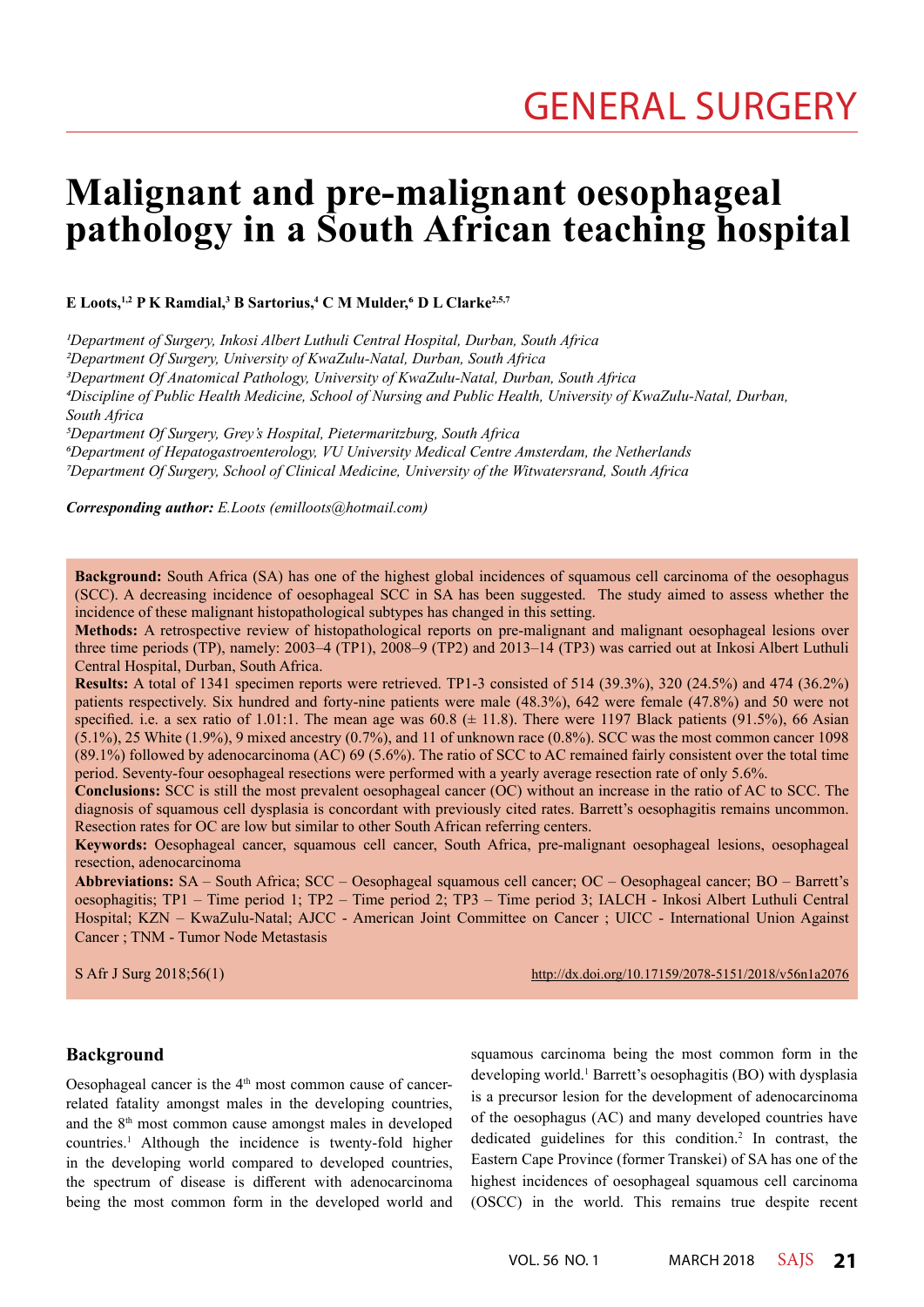# **Malignant and pre-malignant oesophageal pathology in a South African teaching hospital**

**E Loots,1,2 P K Ramdial,3 B Sartorius,4 C M Mulder,6 D L Clarke2,5,7**

*1Department of Surgery, Inkosi Albert Luthuli Central Hospital, Durban, South Africa*

*2Department Of Surgery, University of KwaZulu-Natal, Durban, South Africa*

*3Department Of Anatomical Pathology, University of KwaZulu-Natal, Durban, South Africa*

*4Discipline of Public Health Medicine, School of Nursing and Public Health, University of KwaZulu-Natal, Durban, South Africa*

*5Department Of Surgery, Grey's Hospital, Pietermaritzburg, South Africa*

*6Department of Hepatogastroenterology, VU University Medical Centre Amsterdam, the Netherlands 7Department Of Surgery, School of Clinical Medicine, University of the Witwatersrand, South Africa*

*Corresponding author: E.Loots (emilloots@hotmail.com)*

**Background:** South Africa (SA) has one of the highest global incidences of squamous cell carcinoma of the oesophagus (SCC). A decreasing incidence of oesophageal SCC in SA has been suggested. The study aimed to assess whether the incidence of these malignant histopathological subtypes has changed in this setting.

**Methods:** A retrospective review of histopathological reports on pre-malignant and malignant oesophageal lesions over three time periods (TP), namely: 2003–4 (TP1), 2008–9 (TP2) and 2013–14 (TP3) was carried out at Inkosi Albert Luthuli Central Hospital, Durban, South Africa.

**Results:** A total of 1341 specimen reports were retrieved. TP1-3 consisted of 514 (39.3%), 320 (24.5%) and 474 (36.2%) patients respectively. Six hundred and forty-nine patients were male (48.3%), 642 were female (47.8%) and 50 were not specified. i.e. a sex ratio of 1.01:1. The mean age was  $60.8 \ (\pm 11.8)$ . There were 1197 Black patients (91.5%), 66 Asian (5.1%), 25 White (1.9%), 9 mixed ancestry (0.7%), and 11 of unknown race (0.8%). SCC was the most common cancer 1098 (89.1%) followed by adenocarcinoma (AC) 69 (5.6%). The ratio of SCC to AC remained fairly consistent over the total time period. Seventy-four oesophageal resections were performed with a yearly average resection rate of only 5.6%.

**Conclusions:** SCC is still the most prevalent oesophageal cancer (OC) without an increase in the ratio of AC to SCC. The diagnosis of squamous cell dysplasia is concordant with previously cited rates. Barrett's oesophagitis remains uncommon. Resection rates for OC are low but similar to other South African referring centers.

**Keywords:** Oesophageal cancer, squamous cell cancer, South Africa, pre-malignant oesophageal lesions, oesophageal resection, adenocarcinoma

**Abbreviations:** SA – South Africa; SCC – Oesophageal squamous cell cancer; OC – Oesophageal cancer; BO – Barrett's oesophagitis; TP1 – Time period 1; TP2 – Time period 2; TP3 – Time period 3; IALCH - Inkosi Albert Luthuli Central Hospital; KZN – KwaZulu-Natal; AJCC - American Joint Committee on Cancer ; UICC - International Union Against Cancer ; TNM - Tumor Node Metastasis

S Afr J Surg 2018;56(1) http://dx.doi.org/10.17159/2078-5151/2018/v56n1a2076

#### **Background**

Oesophageal cancer is the  $4<sup>th</sup>$  most common cause of cancerrelated fatality amongst males in the developing countries, and the 8th most common cause amongst males in developed countries.1 Although the incidence is twenty-fold higher in the developing world compared to developed countries, the spectrum of disease is different with adenocarcinoma being the most common form in the developed world and

squamous carcinoma being the most common form in the developing world.<sup>1</sup> Barrett's oesophagitis (BO) with dysplasia is a precursor lesion for the development of adenocarcinoma of the oesophagus (AC) and many developed countries have dedicated guidelines for this condition.2 In contrast, the Eastern Cape Province (former Transkei) of SA has one of the highest incidences of oesophageal squamous cell carcinoma (OSCC) in the world. This remains true despite recent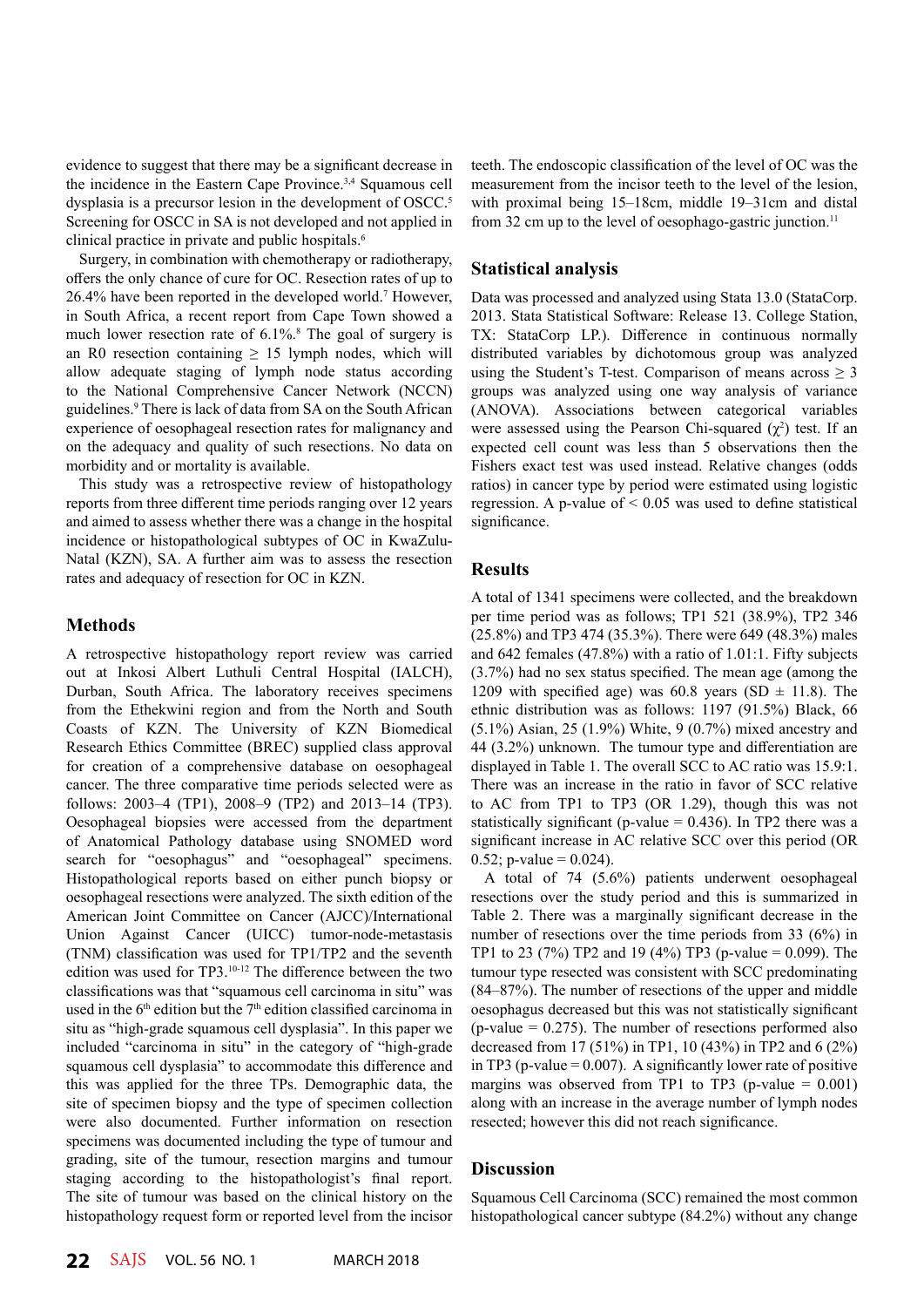evidence to suggest that there may be a significant decrease in the incidence in the Eastern Cape Province.3,4 Squamous cell dysplasia is a precursor lesion in the development of OSCC.<sup>5</sup> Screening for OSCC in SA is not developed and not applied in clinical practice in private and public hospitals.<sup>6</sup>

Surgery, in combination with chemotherapy or radiotherapy, offers the only chance of cure for OC. Resection rates of up to 26.4% have been reported in the developed world.7 However, in South Africa, a recent report from Cape Town showed a much lower resection rate of 6.1%.<sup>8</sup> The goal of surgery is an R0 resection containing  $\geq$  15 lymph nodes, which will allow adequate staging of lymph node status according to the National Comprehensive Cancer Network (NCCN) guidelines.9 There is lack of data from SA on the South African experience of oesophageal resection rates for malignancy and on the adequacy and quality of such resections. No data on morbidity and or mortality is available.

This study was a retrospective review of histopathology reports from three different time periods ranging over 12 years and aimed to assess whether there was a change in the hospital incidence or histopathological subtypes of OC in KwaZulu-Natal (KZN), SA. A further aim was to assess the resection rates and adequacy of resection for OC in KZN.

## **Methods**

A retrospective histopathology report review was carried out at Inkosi Albert Luthuli Central Hospital (IALCH), Durban, South Africa. The laboratory receives specimens from the Ethekwini region and from the North and South Coasts of KZN. The University of KZN Biomedical Research Ethics Committee (BREC) supplied class approval for creation of a comprehensive database on oesophageal cancer. The three comparative time periods selected were as follows: 2003–4 (TP1), 2008–9 (TP2) and 2013–14 (TP3). Oesophageal biopsies were accessed from the department of Anatomical Pathology database using SNOMED word search for "oesophagus" and "oesophageal" specimens. Histopathological reports based on either punch biopsy or oesophageal resections were analyzed. The sixth edition of the American Joint Committee on Cancer (AJCC)/International Union Against Cancer (UICC) tumor-node-metastasis (TNM) classification was used for TP1/TP2 and the seventh edition was used for TP3.10-12 The difference between the two classifications was that "squamous cell carcinoma in situ" was used in the 6<sup>th</sup> edition but the 7<sup>th</sup> edition classified carcinoma in situ as "high-grade squamous cell dysplasia". In this paper we included "carcinoma in situ" in the category of "high-grade squamous cell dysplasia" to accommodate this difference and this was applied for the three TPs. Demographic data, the site of specimen biopsy and the type of specimen collection were also documented. Further information on resection specimens was documented including the type of tumour and grading, site of the tumour, resection margins and tumour staging according to the histopathologist's final report. The site of tumour was based on the clinical history on the histopathology request form or reported level from the incisor

teeth. The endoscopic classification of the level of OC was the measurement from the incisor teeth to the level of the lesion, with proximal being 15–18cm, middle 19–31cm and distal from 32 cm up to the level of oesophago-gastric junction.<sup>11</sup>

## **Statistical analysis**

Data was processed and analyzed using Stata 13.0 (StataCorp. 2013. Stata Statistical Software: Release 13. College Station, TX: StataCorp LP.). Difference in continuous normally distributed variables by dichotomous group was analyzed using the Student's T-test. Comparison of means across  $\geq 3$ groups was analyzed using one way analysis of variance (ANOVA). Associations between categorical variables were assessed using the Pearson Chi-squared  $(\chi^2)$  test. If an expected cell count was less than 5 observations then the Fishers exact test was used instead. Relative changes (odds ratios) in cancer type by period were estimated using logistic regression. A p-value of  $< 0.05$  was used to define statistical significance.

## **Results**

A total of 1341 specimens were collected, and the breakdown per time period was as follows; TP1 521 (38.9%), TP2 346 (25.8%) and TP3 474 (35.3%). There were 649 (48.3%) males and 642 females (47.8%) with a ratio of 1.01:1. Fifty subjects (3.7%) had no sex status specified. The mean age (among the 1209 with specified age) was 60.8 years (SD  $\pm$  11.8). The ethnic distribution was as follows: 1197 (91.5%) Black, 66 (5.1%) Asian, 25 (1.9%) White, 9 (0.7%) mixed ancestry and 44 (3.2%) unknown. The tumour type and differentiation are displayed in Table 1. The overall SCC to AC ratio was 15.9:1. There was an increase in the ratio in favor of SCC relative to AC from TP1 to TP3 (OR 1.29), though this was not statistically significant (p-value  $= 0.436$ ). In TP2 there was a significant increase in AC relative SCC over this period (OR 0.52; p-value =  $0.024$ ).

A total of 74 (5.6%) patients underwent oesophageal resections over the study period and this is summarized in Table 2. There was a marginally significant decrease in the number of resections over the time periods from 33 (6%) in TP1 to 23 (7%) TP2 and 19 (4%) TP3 (p-value = 0.099). The tumour type resected was consistent with SCC predominating (84–87%). The number of resections of the upper and middle oesophagus decreased but this was not statistically significant  $(p-value = 0.275)$ . The number of resections performed also decreased from 17 (51%) in TP1, 10 (43%) in TP2 and 6 (2%) in TP3 (p-value  $= 0.007$ ). A significantly lower rate of positive margins was observed from TP1 to TP3 (p-value  $= 0.001$ ) along with an increase in the average number of lymph nodes resected; however this did not reach significance.

# **Discussion**

Squamous Cell Carcinoma (SCC) remained the most common histopathological cancer subtype (84.2%) without any change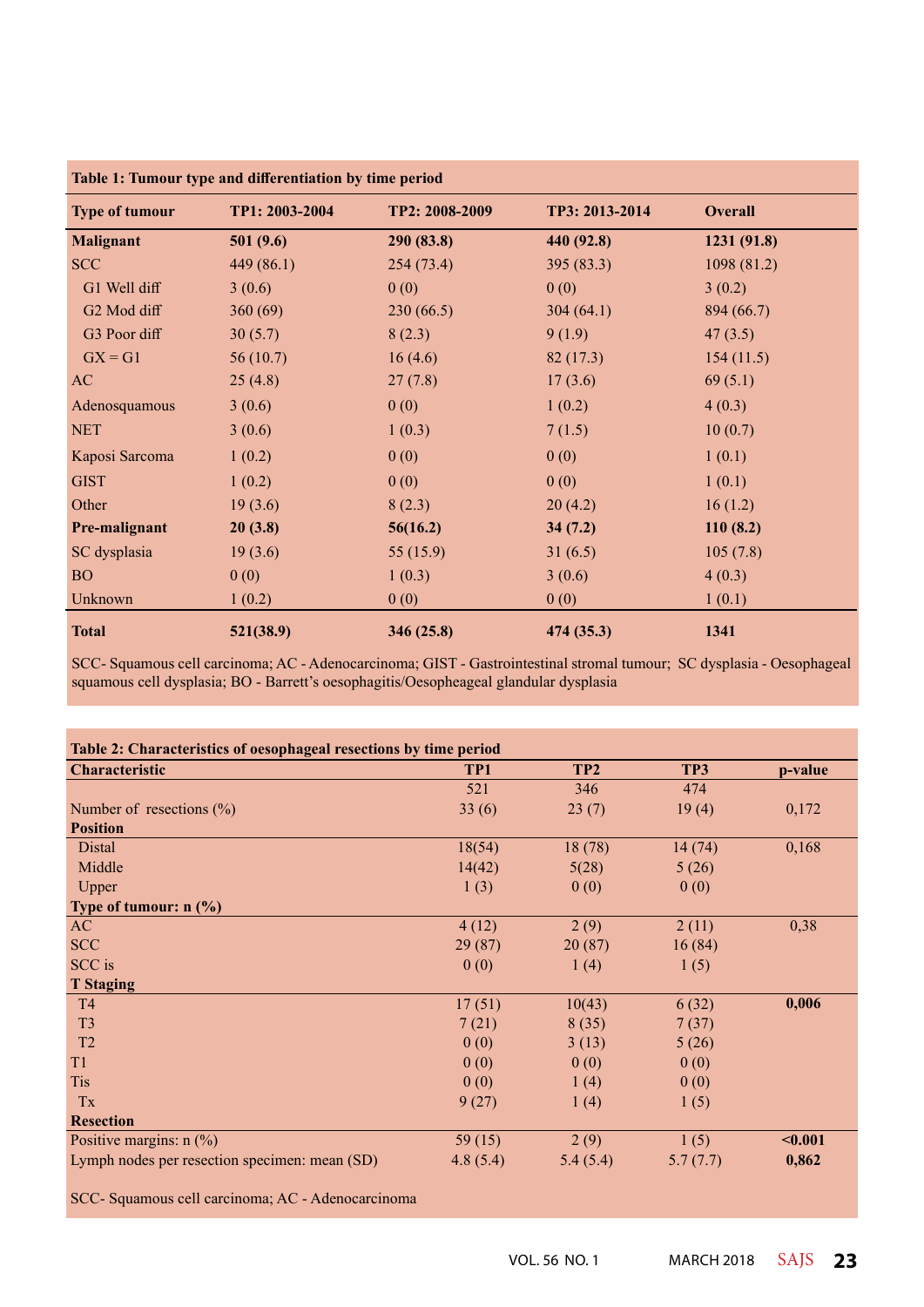| Table 1: Tumour type and differentiation by time period |                |                |                |                |
|---------------------------------------------------------|----------------|----------------|----------------|----------------|
| <b>Type of tumour</b>                                   | TP1: 2003-2004 | TP2: 2008-2009 | TP3: 2013-2014 | <b>Overall</b> |
| <b>Malignant</b>                                        | 501(9.6)       | 290 (83.8)     | 440 (92.8)     | 1231 (91.8)    |
| <b>SCC</b>                                              | 449 (86.1)     | 254(73.4)      | 395 (83.3)     | 1098 (81.2)    |
| G1 Well diff                                            | 3(0.6)         | 0(0)           | 0(0)           | 3(0.2)         |
| G2 Mod diff                                             | 360(69)        | 230(66.5)      | 304(64.1)      | 894 (66.7)     |
| G3 Poor diff                                            | 30(5.7)        | 8(2.3)         | 9(1.9)         | 47(3.5)        |
| $GX = G1$                                               | 56(10.7)       | 16(4.6)        | 82(17.3)       | 154(11.5)      |
| AC                                                      | 25(4.8)        | 27(7.8)        | 17(3.6)        | 69(5.1)        |
| Adenosquamous                                           | 3(0.6)         | 0(0)           | 1(0.2)         | 4(0.3)         |
| <b>NET</b>                                              | 3(0.6)         | 1(0.3)         | 7(1.5)         | 10(0.7)        |
| Kaposi Sarcoma                                          | 1(0.2)         | 0(0)           | 0(0)           | 1(0.1)         |
| <b>GIST</b>                                             | 1(0.2)         | 0(0)           | 0(0)           | 1(0.1)         |
| Other                                                   | 19(3.6)        | 8(2.3)         | 20(4.2)        | 16(1.2)        |
| Pre-malignant                                           | 20(3.8)        | 56(16.2)       | 34(7.2)        | 110(8.2)       |
| SC dysplasia                                            | 19(3.6)        | 55 (15.9)      | 31(6.5)        | 105(7.8)       |
| <b>BO</b>                                               | 0(0)           | 1(0.3)         | 3(0.6)         | 4(0.3)         |
| Unknown                                                 | 1(0.2)         | 0(0)           | 0(0)           | 1(0.1)         |
| <b>Total</b>                                            | 521(38.9)      | 346 (25.8)     | 474 (35.3)     | 1341           |

SCC- Squamous cell carcinoma; AC - Adenocarcinoma; GIST - Gastrointestinal stromal tumour; SC dysplasia - Oesophageal squamous cell dysplasia; BO - Barrett's oesophagitis/Oesopheageal glandular dysplasia

| Table 2: Characteristics of oesophageal resections by time period |           |                 |          |         |  |  |  |
|-------------------------------------------------------------------|-----------|-----------------|----------|---------|--|--|--|
| <b>Characteristic</b>                                             | TP1       | TP <sub>2</sub> | TP3      | p-value |  |  |  |
|                                                                   | 521       | 346             | 474      |         |  |  |  |
| Number of resections $(\%)$                                       | 33(6)     | 23(7)           | 19(4)    | 0,172   |  |  |  |
| <b>Position</b>                                                   |           |                 |          |         |  |  |  |
| Distal                                                            | 18(54)    | 18(78)          | 14(74)   | 0,168   |  |  |  |
| Middle                                                            | 14(42)    | 5(28)           | 5(26)    |         |  |  |  |
| Upper                                                             | 1(3)      | 0(0)            | 0(0)     |         |  |  |  |
| Type of tumour: $n$ (%)                                           |           |                 |          |         |  |  |  |
| AC                                                                | 4(12)     | 2(9)            | 2(11)    | 0,38    |  |  |  |
| <b>SCC</b>                                                        | 29(87)    | 20(87)          | 16(84)   |         |  |  |  |
| SCC is                                                            | 0(0)      | 1(4)            | 1(5)     |         |  |  |  |
| <b>T</b> Staging                                                  |           |                 |          |         |  |  |  |
| <b>T4</b>                                                         | 17(51)    | 10(43)          | 6(32)    | 0,006   |  |  |  |
| T <sub>3</sub>                                                    | 7(21)     | 8(35)           | 7(37)    |         |  |  |  |
| T <sub>2</sub>                                                    | 0(0)      | 3(13)           | 5(26)    |         |  |  |  |
| T1                                                                | 0(0)      | 0(0)            | 0(0)     |         |  |  |  |
| <b>Tis</b>                                                        | 0(0)      | 1(4)            | 0(0)     |         |  |  |  |
| Tx                                                                | 9(27)     | 1(4)            | 1(5)     |         |  |  |  |
| <b>Resection</b>                                                  |           |                 |          |         |  |  |  |
| Positive margins: $n$ (%)                                         | 59 $(15)$ | 2(9)            | 1(5)     | $0.001$ |  |  |  |
| Lymph nodes per resection specimen: mean (SD)                     | 4.8(5.4)  | 5.4(5.4)        | 5.7(7.7) | 0,862   |  |  |  |

SCC- Squamous cell carcinoma; AC - Adenocarcinoma